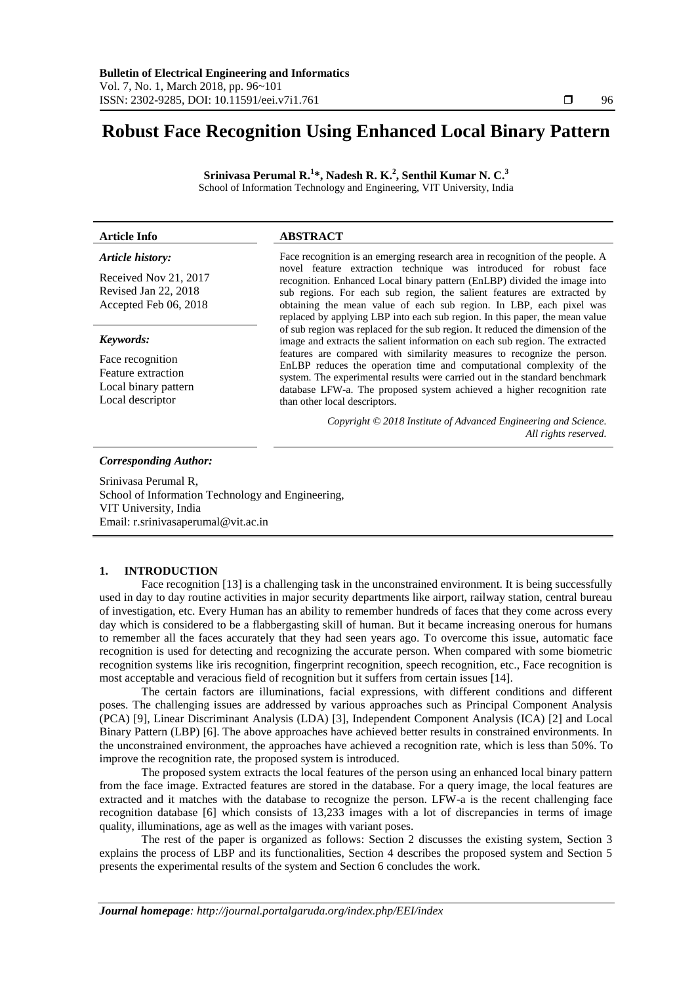# **Robust Face Recognition Using Enhanced Local Binary Pattern**

**Srinivasa Perumal R. 1 \*, Nadesh R. K. 2 , Senthil Kumar N. C. 3** School of Information Technology and Engineering, VIT University, India

### **Article Info ABSTRACT**

# *Article history:*

Received Nov 21, 2017 Revised Jan 22, 2018 Accepted Feb 06, 2018

#### *Keywords:*

Face recognition Feature extraction Local binary pattern Local descriptor

Face recognition is an emerging research area in recognition of the people. A novel feature extraction technique was introduced for robust face recognition. Enhanced Local binary pattern (EnLBP) divided the image into sub regions. For each sub region, the salient features are extracted by obtaining the mean value of each sub region. In LBP, each pixel was replaced by applying LBP into each sub region. In this paper, the mean value of sub region was replaced for the sub region. It reduced the dimension of the image and extracts the salient information on each sub region. The extracted features are compared with similarity measures to recognize the person. EnLBP reduces the operation time and computational complexity of the system. The experimental results were carried out in the standard benchmark database LFW-a. The proposed system achieved a higher recognition rate than other local descriptors.

> *Copyright © 2018 Institute of Advanced Engineering and Science. All rights reserved.*

#### *Corresponding Author:*

Srinivasa Perumal R, School of Information Technology and Engineering, VIT University, India Email: r.srinivasaperumal@vit.ac.in

# **1. INTRODUCTION**

Face recognition [13] is a challenging task in the unconstrained environment. It is being successfully used in day to day routine activities in major security departments like airport, railway station, central bureau of investigation, etc. Every Human has an ability to remember hundreds of faces that they come across every day which is considered to be a flabbergasting skill of human. But it became increasing onerous for humans to remember all the faces accurately that they had seen years ago. To overcome this issue, automatic face recognition is used for detecting and recognizing the accurate person. When compared with some biometric recognition systems like iris recognition, fingerprint recognition, speech recognition, etc., Face recognition is most acceptable and veracious field of recognition but it suffers from certain issues [14].

The certain factors are illuminations, facial expressions, with different conditions and different poses. The challenging issues are addressed by various approaches such as Principal Component Analysis (PCA) [9], Linear Discriminant Analysis (LDA) [3], Independent Component Analysis (ICA) [2] and Local Binary Pattern (LBP) [6]. The above approaches have achieved better results in constrained environments. In the unconstrained environment, the approaches have achieved a recognition rate, which is less than 50%. To improve the recognition rate, the proposed system is introduced.

The proposed system extracts the local features of the person using an enhanced local binary pattern from the face image. Extracted features are stored in the database. For a query image, the local features are extracted and it matches with the database to recognize the person. LFW-a is the recent challenging face recognition database [6] which consists of 13,233 images with a lot of discrepancies in terms of image quality, illuminations, age as well as the images with variant poses.

The rest of the paper is organized as follows: Section 2 discusses the existing system, Section 3 explains the process of LBP and its functionalities, Section 4 describes the proposed system and Section 5 presents the experimental results of the system and Section 6 concludes the work.

*Journal homepage: http://journal.portalgaruda.org/index.php/EEI/index*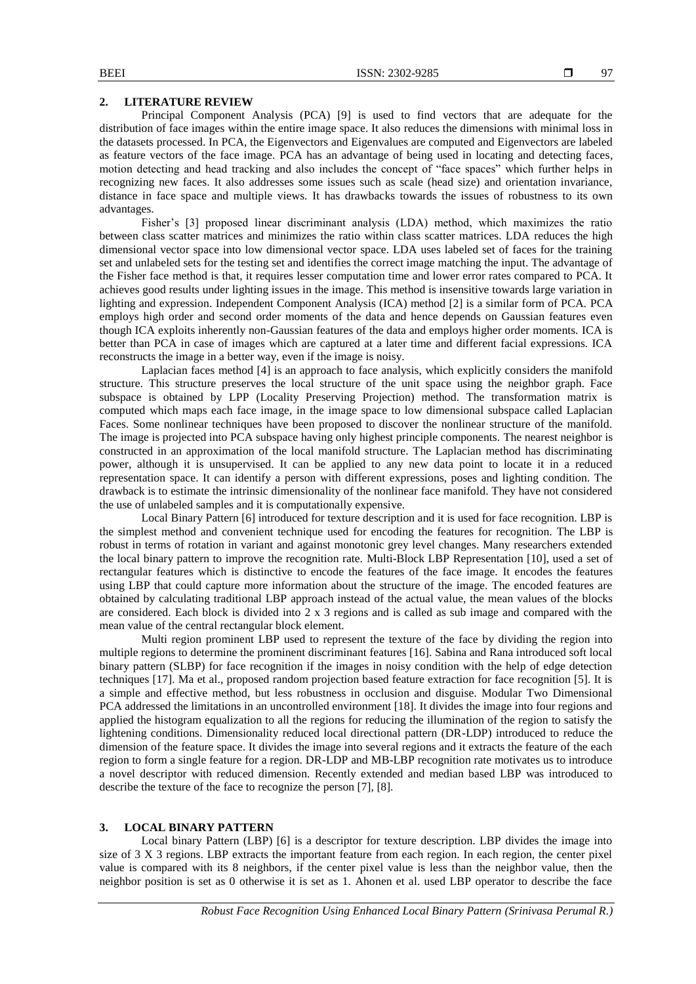#### **2. LITERATURE REVIEW**

Principal Component Analysis (PCA) [9] is used to find vectors that are adequate for the distribution of face images within the entire image space. It also reduces the dimensions with minimal loss in the datasets processed. In PCA, the Eigenvectors and Eigenvalues are computed and Eigenvectors are labeled as feature vectors of the face image. PCA has an advantage of being used in locating and detecting faces, motion detecting and head tracking and also includes the concept of "face spaces" which further helps in recognizing new faces. It also addresses some issues such as scale (head size) and orientation invariance, distance in face space and multiple views. It has drawbacks towards the issues of robustness to its own advantages.

Fisher's [3] proposed linear discriminant analysis (LDA) method, which maximizes the ratio between class scatter matrices and minimizes the ratio within class scatter matrices. LDA reduces the high dimensional vector space into low dimensional vector space. LDA uses labeled set of faces for the training set and unlabeled sets for the testing set and identifies the correct image matching the input. The advantage of the Fisher face method is that, it requires lesser computation time and lower error rates compared to PCA. It achieves good results under lighting issues in the image. This method is insensitive towards large variation in lighting and expression. Independent Component Analysis (ICA) method [2] is a similar form of PCA. PCA employs high order and second order moments of the data and hence depends on Gaussian features even though ICA exploits inherently non-Gaussian features of the data and employs higher order moments. ICA is better than PCA in case of images which are captured at a later time and different facial expressions. ICA reconstructs the image in a better way, even if the image is noisy.

Laplacian faces method [4] is an approach to face analysis, which explicitly considers the manifold structure. This structure preserves the local structure of the unit space using the neighbor graph. Face subspace is obtained by LPP (Locality Preserving Projection) method. The transformation matrix is computed which maps each face image, in the image space to low dimensional subspace called Laplacian Faces. Some nonlinear techniques have been proposed to discover the nonlinear structure of the manifold. The image is projected into PCA subspace having only highest principle components. The nearest neighbor is constructed in an approximation of the local manifold structure. The Laplacian method has discriminating power, although it is unsupervised. It can be applied to any new data point to locate it in a reduced representation space. It can identify a person with different expressions, poses and lighting condition. The drawback is to estimate the intrinsic dimensionality of the nonlinear face manifold. They have not considered the use of unlabeled samples and it is computationally expensive.

Local Binary Pattern [6] introduced for texture description and it is used for face recognition. LBP is the simplest method and convenient technique used for encoding the features for recognition. The LBP is robust in terms of rotation in variant and against monotonic grey level changes. Many researchers extended the local binary pattern to improve the recognition rate. Multi-Block LBP Representation [10], used a set of rectangular features which is distinctive to encode the features of the face image. It encodes the features using LBP that could capture more information about the structure of the image. The encoded features are obtained by calculating traditional LBP approach instead of the actual value, the mean values of the blocks are considered. Each block is divided into 2 x 3 regions and is called as sub image and compared with the mean value of the central rectangular block element.

Multi region prominent LBP used to represent the texture of the face by dividing the region into multiple regions to determine the prominent discriminant features [16]. Sabina and Rana introduced soft local binary pattern (SLBP) for face recognition if the images in noisy condition with the help of edge detection techniques [17]. Ma et al., proposed random projection based feature extraction for face recognition [5]. It is a simple and effective method, but less robustness in occlusion and disguise. Modular Two Dimensional PCA addressed the limitations in an uncontrolled environment [18]. It divides the image into four regions and applied the histogram equalization to all the regions for reducing the illumination of the region to satisfy the lightening conditions. Dimensionality reduced local directional pattern (DR-LDP) introduced to reduce the dimension of the feature space. It divides the image into several regions and it extracts the feature of the each region to form a single feature for a region. DR-LDP and MB-LBP recognition rate motivates us to introduce a novel descriptor with reduced dimension. Recently extended and median based LBP was introduced to describe the texture of the face to recognize the person [7], [8].

# **3. LOCAL BINARY PATTERN**

Local binary Pattern (LBP) [6] is a descriptor for texture description. LBP divides the image into size of 3 X 3 regions. LBP extracts the important feature from each region. In each region, the center pixel value is compared with its 8 neighbors, if the center pixel value is less than the neighbor value, then the neighbor position is set as 0 otherwise it is set as 1. Ahonen et al. used LBP operator to describe the face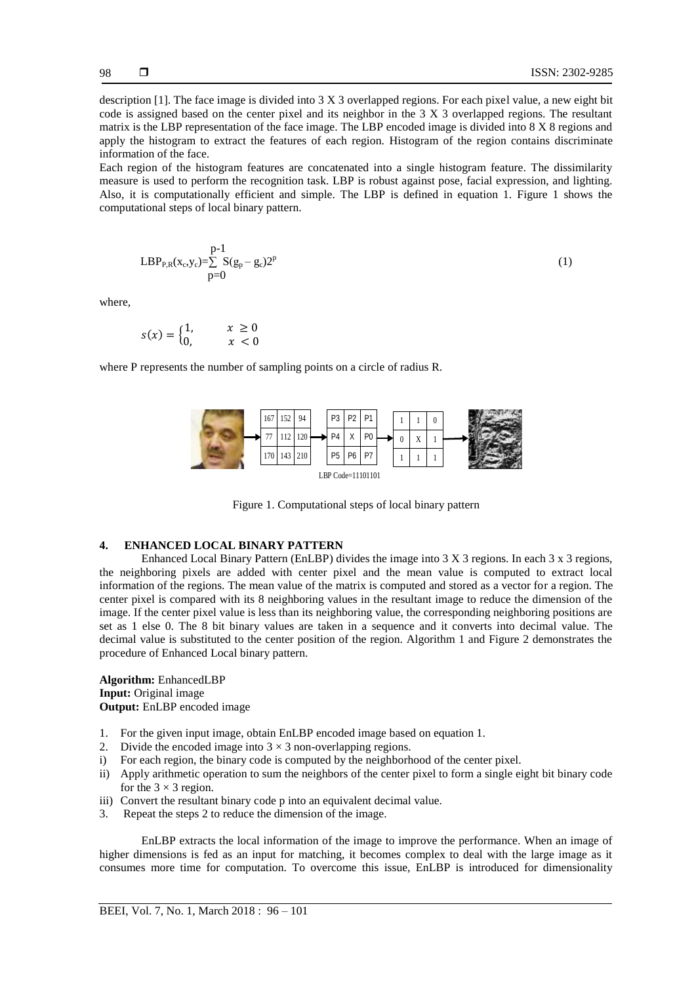description [1]. The face image is divided into 3 X 3 overlapped regions. For each pixel value, a new eight bit code is assigned based on the center pixel and its neighbor in the 3 X 3 overlapped regions. The resultant matrix is the LBP representation of the face image. The LBP encoded image is divided into 8 X 8 regions and apply the histogram to extract the features of each region. Histogram of the region contains discriminate information of the face.

Each region of the histogram features are concatenated into a single histogram feature. The dissimilarity measure is used to perform the recognition task. LBP is robust against pose, facial expression, and lighting. Also, it is computationally efficient and simple. The LBP is defined in equation 1. Figure 1 shows the computational steps of local binary pattern.

$$
LBP_{P,R}(x_c, y_c) = \sum_{p=0}^{p-1} S(g_p - g_c) 2^p
$$
 (1)

where,

$$
s(x) = \begin{cases} 1, & x \ge 0 \\ 0, & x < 0 \end{cases}
$$

where P represents the number of sampling points on a circle of radius R.



Figure 1. Computational steps of local binary pattern

# **4. ENHANCED LOCAL BINARY PATTERN**

Enhanced Local Binary Pattern (EnLBP) divides the image into 3 X 3 regions. In each 3 x 3 regions, the neighboring pixels are added with center pixel and the mean value is computed to extract local information of the regions. The mean value of the matrix is computed and stored as a vector for a region. The center pixel is compared with its 8 neighboring values in the resultant image to reduce the dimension of the image. If the center pixel value is less than its neighboring value, the corresponding neighboring positions are set as 1 else 0. The 8 bit binary values are taken in a sequence and it converts into decimal value. The decimal value is substituted to the center position of the region. Algorithm 1 and Figure 2 demonstrates the procedure of Enhanced Local binary pattern.

**Algorithm:** EnhancedLBP **Input:** Original image **Output:** EnLBP encoded image

- 1. For the given input image, obtain EnLBP encoded image based on equation 1.
- 2. Divide the encoded image into  $3 \times 3$  non-overlapping regions.
- i) For each region, the binary code is computed by the neighborhood of the center pixel.
- ii) Apply arithmetic operation to sum the neighbors of the center pixel to form a single eight bit binary code for the  $3 \times 3$  region.
- iii) Convert the resultant binary code p into an equivalent decimal value.
- 3. Repeat the steps 2 to reduce the dimension of the image.

EnLBP extracts the local information of the image to improve the performance. When an image of higher dimensions is fed as an input for matching, it becomes complex to deal with the large image as it consumes more time for computation. To overcome this issue, EnLBP is introduced for dimensionality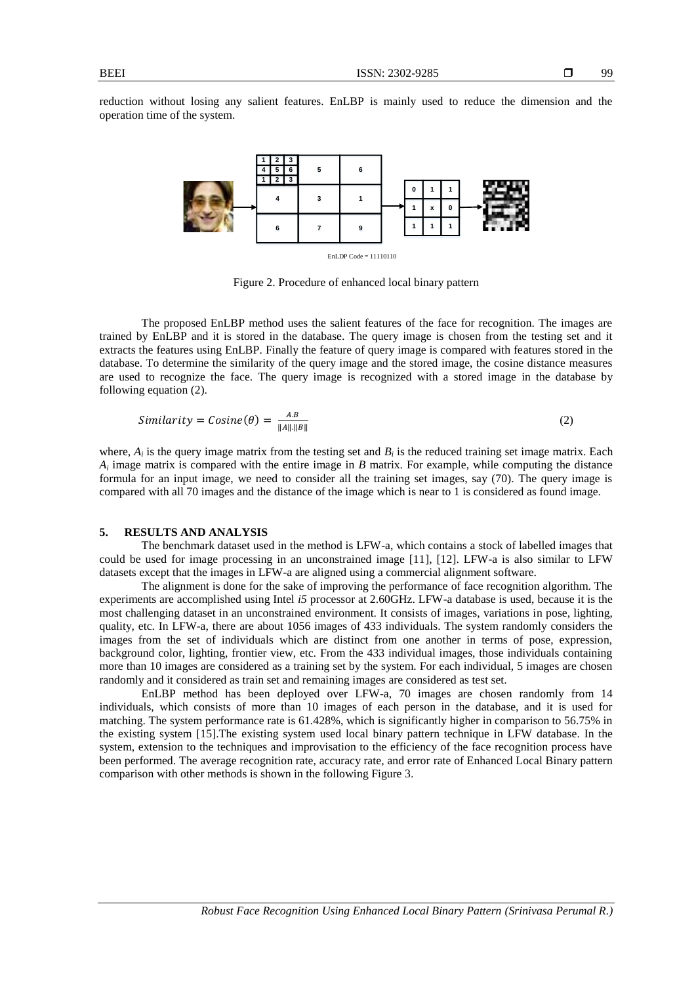reduction without losing any salient features. EnLBP is mainly used to reduce the dimension and the operation time of the system.



EnLDP Code = 11110110

Figure 2. Procedure of enhanced local binary pattern

The proposed EnLBP method uses the salient features of the face for recognition. The images are trained by EnLBP and it is stored in the database. The query image is chosen from the testing set and it extracts the features using EnLBP. Finally the feature of query image is compared with features stored in the database. To determine the similarity of the query image and the stored image, the cosine distance measures are used to recognize the face. The query image is recognized with a stored image in the database by following equation (2).

$$
Similarity = Cosine(\theta) = \frac{AB}{\|A\| \|B\|}
$$
\n(2)

where,  $A_i$  is the query image matrix from the testing set and  $B_i$  is the reduced training set image matrix. Each  $A_i$  image matrix is compared with the entire image in *B* matrix. For example, while computing the distance formula for an input image, we need to consider all the training set images, say (70). The query image is compared with all 70 images and the distance of the image which is near to 1 is considered as found image.

### **5. RESULTS AND ANALYSIS**

The benchmark dataset used in the method is LFW-a, which contains a stock of labelled images that could be used for image processing in an unconstrained image [11], [12]. LFW-a is also similar to LFW datasets except that the images in LFW-a are aligned using a commercial alignment software.

The alignment is done for the sake of improving the performance of face recognition algorithm. The experiments are accomplished using Intel *i5* processor at 2.60GHz. LFW-a database is used, because it is the most challenging dataset in an unconstrained environment. It consists of images, variations in pose, lighting, quality, etc. In LFW-a, there are about 1056 images of 433 individuals. The system randomly considers the images from the set of individuals which are distinct from one another in terms of pose, expression, background color, lighting, frontier view, etc. From the 433 individual images, those individuals containing more than 10 images are considered as a training set by the system. For each individual, 5 images are chosen randomly and it considered as train set and remaining images are considered as test set.

EnLBP method has been deployed over LFW-a, 70 images are chosen randomly from 14 individuals, which consists of more than 10 images of each person in the database, and it is used for matching. The system performance rate is 61.428%, which is significantly higher in comparison to 56.75% in the existing system [15].The existing system used local binary pattern technique in LFW database. In the system, extension to the techniques and improvisation to the efficiency of the face recognition process have been performed. The average recognition rate, accuracy rate, and error rate of Enhanced Local Binary pattern comparison with other methods is shown in the following Figure 3.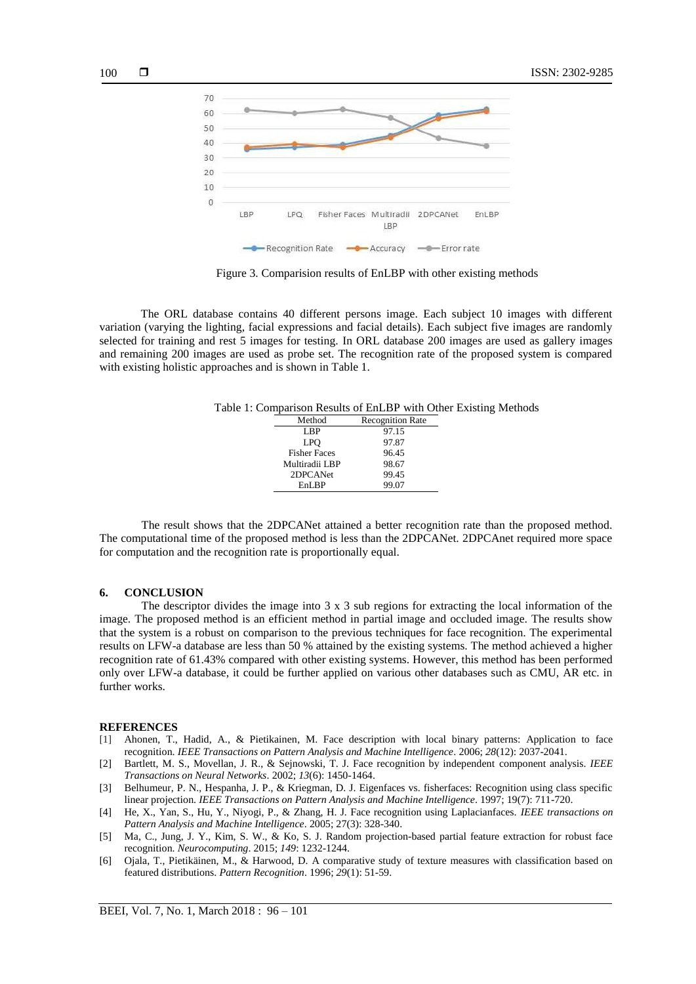



Figure 3. Comparision results of EnLBP with other existing methods

The ORL database contains 40 different persons image. Each subject 10 images with different variation (varying the lighting, facial expressions and facial details). Each subject five images are randomly selected for training and rest 5 images for testing. In ORL database 200 images are used as gallery images and remaining 200 images are used as probe set. The recognition rate of the proposed system is compared with existing holistic approaches and is shown in Table 1.

Table 1: Comparison Results of EnLBP with Other Existing Methods

| Method              | <b>Recognition Rate</b> |
|---------------------|-------------------------|
| LBP                 | 97.15                   |
| LPO                 | 97.87                   |
| <b>Fisher Faces</b> | 96.45                   |
| Multiradii LBP      | 98.67                   |
| 2DPCANet            | 99.45                   |
| EnLBP               | 99.07                   |

The result shows that the 2DPCANet attained a better recognition rate than the proposed method. The computational time of the proposed method is less than the 2DPCANet. 2DPCAnet required more space for computation and the recognition rate is proportionally equal.

#### **6. CONCLUSION**

The descriptor divides the image into 3 x 3 sub regions for extracting the local information of the image. The proposed method is an efficient method in partial image and occluded image. The results show that the system is a robust on comparison to the previous techniques for face recognition. The experimental results on LFW-a database are less than 50 % attained by the existing systems. The method achieved a higher recognition rate of 61.43% compared with other existing systems. However, this method has been performed only over LFW-a database, it could be further applied on various other databases such as CMU, AR etc. in further works.

#### **REFERENCES**

- [1] Ahonen, T., Hadid, A., & Pietikainen, M. Face description with local binary patterns: Application to face recognition. *IEEE Transactions on Pattern Analysis and Machine Intelligence*. 2006; *28*(12): 2037-2041.
- [2] Bartlett, M. S., Movellan, J. R., & Sejnowski, T. J. Face recognition by independent component analysis. *IEEE Transactions on Neural Networks*. 2002; *13*(6): 1450-1464.
- [3] Belhumeur, P. N., Hespanha, J. P., & Kriegman, D. J. Eigenfaces vs. fisherfaces: Recognition using class specific linear projection. *IEEE Transactions on Pattern Analysis and Machine Intelligence*. 1997; 19(7): 711-720.
- [4] He, X., Yan, S., Hu, Y., Niyogi, P., & Zhang, H. J. Face recognition using Laplacianfaces. *IEEE transactions on Pattern Analysis and Machine Intelligence*. 2005; 27(3): 328-340.
- [5] Ma, C., Jung, J. Y., Kim, S. W., & Ko, S. J. Random projection-based partial feature extraction for robust face recognition. *Neurocomputing*. 2015; *149*: 1232-1244.
- [6] Ojala, T., Pietikäinen, M., & Harwood, D. A comparative study of texture measures with classification based on featured distributions. *Pattern Recognition*. 1996; *29*(1): 51-59.